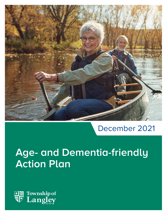

# December 2021

# **Age- and Dementia-friendly Action Plan**

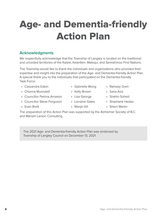# Age- and Dementia-friendly Action Plan

#### **Acknowledgments**

We respectfully acknowledge that the Township of Langley is located on the traditional and unceded territories of the Katzie, Kwantlen, Matsqui, and Semiahmoo First Nations.

The Township would like to thank the individuals and organizations who provided their expertise and insight into the preparation of the Age- and Dementia-friendly Action Plan. A special thank you to the individuals that participated on the Dementia-friendly Task Force:

- Cassandra Eaton
- Chonna Munnalall
- Councillor Petrina Arnason
- Councillor Steve Ferguson
- Evan Brett

• Lorraine Gates

• Lisa George

- Maniit Gill
- Sherri Martin

The preparation of this Action Plan was supported by the Alzheimer Society of B.C. and Mariam Larson Consulting.

The 2021 Age- and Dementia-friendly Action Plan was endorsed by Township of Langley Council on December 13, 2021.

- Gabrielle Wong • Kelly Brown
- Ramsey Oren
- Sana Aziz
- Shahin Soheili
- Shashank Hedao
	-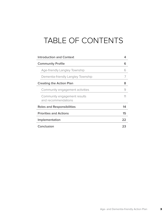# TABLE OF CONTENTS

|                          | <b>Introduction and Context</b>                     | 4  |
|--------------------------|-----------------------------------------------------|----|
| <b>Community Profile</b> |                                                     | 6  |
|                          | Age-friendly Langley Township                       | 6  |
|                          | Dementia-friendly Langley Township                  | 7  |
|                          | <b>Creating the Action Plan</b>                     | 8  |
|                          | Community engagement activities                     | 9  |
|                          | Community engagement results<br>and recommendations | 11 |
|                          | <b>Roles and Responsibilities</b>                   | 14 |
|                          | <b>Priorities and Actions</b>                       | 15 |
| Implementation           |                                                     | 22 |
|                          | Conclusion                                          | 23 |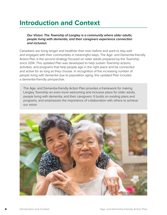### **Introduction and Context**

*Our Vision: The Township of Langley is a community where older adults, people living with dementia, and their caregivers experience connection and inclusion.*

Canadians are living longer and healthier than ever before and want to stay well and engaged with their communities in meaningful ways. The Age- and Dementia-friendly Action Plan is the second strategy focused on older adults prepared by the Township since 2014. This updated Plan was developed to help sustain Township actions, activities, and programs that help people age in the right place and be connected and active for as long as they choose. In recognition of the increasing number of people living with dementia due to population aging, this updated Plan includes a dementia-friendly perspective.

The Age- and Dementia-friendly Action Plan provides a framework for making Langley Township an even more welcoming and inclusive place for older adults, people living with dementia, and their caregivers. It builds on existing plans and programs, and emphasizes the importance of collaboration with others to achieve our vision.

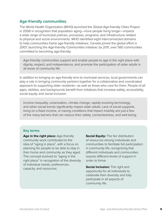#### **Age-friendly communities**

The World Health Organization (WHO) launched the Global Age-friendly Cities Project in 2006 in recognition that population aging—more people living longer—impacts a wide range of municipal policies, processes, programs, and infrastructure related to physical and social environments. WHO identified eight interconnected domains to help communities frame age-friendly initiatives. Canada joined the global effort in 2007, launching the Age-friendly Communities initiative; by 2011, over 560 communities committed to becoming age-friendly.

Age-friendly communities support and enable people to age in the right place with dignity, respect, and independence, and promote the participation of older adults in all areas of community life.

In addition to bringing an age-friendly lens to municipal services, local governments can play a role in bringing community partners together for a collaborative and coordinated approach to supporting older residents—as well as those who care for them. People of all ages, abilities, and backgrounds benefit from initiatives that increase safety, accessibility, social equity, and social inclusion.

Income inequality, urbanization, climate change, rapidly evolving technology, and other social trends significantly impact older adults. Lack of social supports, living on a fixed income, or having conditions that impact mobility are just a few of the many barriers that can reduce their safety, connectedness, and well-being.

#### **Key terms:**

Age in the right place: Age-friendly community work contributed to the idea of "aging in place", with a focus on planning for people to be able to stay in their home and community as they aged. The concept evolved to "aging in the right place" in recognition of the diversity of individual needs, preferences, capacity, and resources.

**Social Equity: The fair distribution** of resources among individuals and communities to facilitate full participation in community life, recognizing that different individuals and communities require different levels of support in order to thrive.

**Social Inclusion:** The right and opportunity for all individuals to celebrate their diversity and fully participate in all aspects of community life.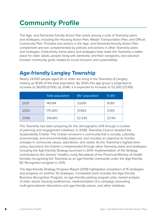## **Community Profile**

The Age- and Dementia-friendly Action Plan exists among a suite of Township plans and strategies, including the Housing Action Plan, Master Transportation Plan, and Official Community Plan. Priorities and actions in the Age- and Dementia-friendly Action Plan complement and are complemented by policies and actions in other Township plans and strategies. Collectively, these plans and strategies help make the Township a better place for older adults, people living with dementia, and their caregivers, and advance broader community goals related to social inclusion and sustainability.

### **Age-friendly Langley Township**

Nearly 24,000 people aged 65 or older are living in the Township of Langley, making up 16.8% of the total population. By 2030, this age group is projected to increase to 38,000 (21.6%); by 2046, it is expected to increase to 52,500 (23.9%).

|      | <b>Total population</b> | 65+ population | $% 65+$ |
|------|-------------------------|----------------|---------|
| 2021 | 140,194                 | 23,616         | 16.8%   |
| 2030 | 175,400                 | 37,843         | 21.6%   |
| 2046 | 219,400                 | 52,540         | 23.9%   |

The Township has been preparing for this demographic shift through a number of planning and engagement initiatives. In 2008, Township Council adopted the Sustainability Charter. The Charter envisions a community that is socially, culturally, economically, and environmentally balanced, and includes an objective to monitor changes in community values, aspirations, and needs. As the Township's highest level policy document, the Charter is implemented through other Township plans and strategies, including the Age-friendly Strategy launched in 2014. Implementation of the Strategy contributed to the Seniors' Healthy Living Secretariat of the Provincial Ministry of Health formally recognizing the Township as an age-friendly community under the Age-friendly BC Recognition program in 2015.

The Age-friendly Strategy Progress Report (2019) highlighted completion of 15 strategies and progress on another 25 strategies. Completed work includes the Age-friendly Business Recognition Program, an age-friendly parking program pilot, market analysis of older adults' housing preferences, implementation of a campaign promoting multi-generational interactions and age-friendly values, and other initiatives.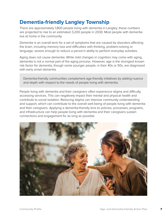### **Dementia-friendly Langley Township**

There are approximately 1,800 people living with dementia in Langley; these numbers are projected to rise to an estimated 3,200 people in 2030. Most people with dementia live at home in the community.

Dementia is an overall term for a set of symptoms that are caused by disorders affecting the brain, including memory loss and difficulties with thinking, problem-solving or language, severe enough to reduce a person's ability to perform everyday activities.

Aging does not cause dementia. While mild changes in cognition may come with aging, dementia is not a normal part of the aging process. However, age is the strongest known risk factor for dementia, though some younger people, in their 40s or 50s, are diagnosed with early onset dementia.

Dementia-friendly communities complement age-friendly initiatives by adding nuance and depth with respect to the needs of people living with dementia.

People living with dementia and their caregivers often experience stigma and difficulty accessing services. This can negatively impact their mental and physical health and contribute to social isolation. Reducing stigma can improve community understanding and support, which can contribute to the overall well-being of people living with dementia and their caregivers. Applying a dementia-friendly lens to policies, processes, programs, and infrastructure can help people living with dementia and their caregivers sustain connections and engagement for as long as possible.

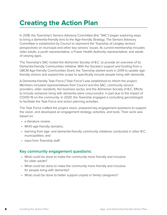### **Creating the Action Plan**

In 2018, the Township's Seniors Advisory Committee (the "SAC") began exploring ways to bring a dementia-friendly lens to the Age-friendly Strategy. The Seniors Advisory Committee is established by Council to represent the Township of Langley seniors' perspectives on municipal and other key seniors' issues. Its current membership includes older adults, a youth representative, a Fraser Health Authority representative, and adults of varying ages.

The Township's SAC invited the Alzheimer Society of B.C. to provide an overview of its Dementia-friendly Communities initiative. With the Society's support and funding from a UBCM Age-friendly Communities Grant, the Township started work in 2019 to update agefriendly actions and expand the scope to specifically include people living with dementia.

A Dementia-friendly Task Force ("Task Force") was established to inform the project. Members included representatives from Council and the SAC, community service providers, older residents, the business sector, and the Alzheimer Society of B.C. Efforts to include someone living with dementia were unsuccessful, in part due to the impact of COVID-19 on the community. In 2020, the Township engaged a consulting gerontologist to facilitate the Task Force and action planning activities.

The Task Force crafted the project vision, prepared key engagement questions to support the vision, and developed an engagement strategy, activities, and tools. Their work was based on:

- a literature review:
- WHO age-friendly domains;
- learning from age- and dementia-friendly community initiatives conducted in other B.C. municipalities; and
- input from Township staff.

#### **Key community engagement questions:**

- What could be done to make the community more friendly and inclusive for older adults?
- What could be done to make the community more friendly and inclusive for people living with dementia?
- What could be done to better support unpaid or family caregivers?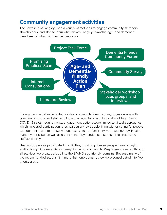### **Community engagement activities**

The Township of Langley used a variety of methods to engage community members, stakeholders, and staff to learn what makes Langley Township age- and dementiafriendly—and what might make it more so.



Engagement activities included a virtual community forum, survey, focus groups with community groups and staff, and individual interviews with key stakeholders. Due to COVID-19 safety requirements, engagement options were limited to virtual approaches, which impacted participation rates, particularly by people living with or caring for people with dementia, and for those without access to—or familiarity with—technology. Health authority participation was also constrained by pandemic responsibilities restricting staff availability.

Nearly 250 people participated in activities, providing diverse perspectives on aging and/or living with dementia, or caregiving in our community. Responses collected through all activities were categorized into the 8 WHO age-friendly domains. Because many of the recommended actions fit in more than one domain, they were consolidated into five priority areas.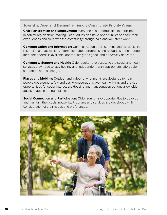#### **Township Age- and Dementia-friendly Community Priority Areas**

**Civic Participation and Employment:** Everyone has opportunities to participate in community decision-making. Older adults also have opportunities to share their experiences and skills with the community through paid and volunteer work.

**Communication and Information:** Communication tools, content, and activities are respectful and accessible. Information about programs and resources to help people meet their needs is available, appropriately designed, and effectively delivered.

**Community Support and Health:** Older adults have access to the social and health services they need to stay healthy and independent, with appropriate, affordable support as needs change.

**Places and Mobility:** Outdoor and indoor environments are designed to help people get around safely and easily, encourage active healthy living, and provide opportunities for social interaction. Housing and transportation options allow older adults to age in the right place.

**Social Connection and Participation:** Older adults have opportunities to develop and maintain their social networks. Programs and services are developed with consideration of their needs and preferences.

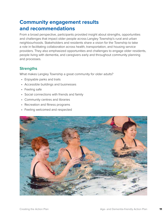### **Community engagement results and recommendations**

From a broad perspective, participants provided insight about strengths, opportunities and challenges that impact older people across Langley Township's rural and urban neighbourhoods. Stakeholders and residents share a vision for the Township to take a role in facilitating collaboration across health, transportation, and housing service providers. They also emphasized opportunities and challenges to engage older residents, people living with dementia, and caregivers early and throughout community planning and processes.

#### **Strengths**

What makes Langley Township a great community for older adults?

- Enjoyable parks and trails
- Accessible buildings and businesses
- Feeling safe
- Social connections with friends and family
- Community centres and libraries
- Recreation and fitness programs
- Feeling welcomed and respected

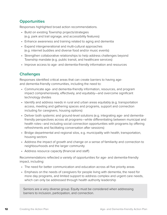#### **Opportunities**

Responses highlighted broad action recommendations.

- Build on existing Township projects/strategies (e.g. park and trail signage, and accessibility features)
- Enhance awareness and training related to aging and dementia
- Expand intergenerational and multi-cultural approaches (e.g. internet buddies and diverse food and/or music events)
- Strengthen collaborative relationships to help address challenges beyond Township mandate (e.g. public transit, and healthcare services)
- Improve access to age- and dementia-friendly information and resources

#### **Challenges**

Responses identified critical areas that can create barriers to having ageand dementia-friendly communities, including the need to:

- Communicate age- and dementia-friendly information, resources, and program impact comprehensively, effectively, and equitably—and overcome significant technology divides
- Identify and address needs in rural and urban areas equitably (e.g. transportation access, meeting and gathering spaces and programs, support and connection including for caregivers, housing options)
- Deliver both systemic and ground-level solutions (e.g. integrating age- and dementiafriendly perspectives across all programs—while differentiating between municipal and health roles—and including social connection opportunities with programs by offering refreshments and facilitating conversation after sessions)
- Bridge departmental and regional silos, e.g. municipality with health, transportation, housing sectors
- Address the impact of growth and change on a sense of familiarity and connection to neighbourhoods and the larger community
- Address resource capacity (financial and staff)

Recommendations reflected a variety of opportunities for age- and dementia-friendly impact, including:

- The need for better communication and education across all five priority areas
- Emphasis on the needs of caregivers for people living with dementia, the need for more day programs, and limited support to address complex and urgent care needs, which can only be addressed through health authority leadership

Seniors are a very diverse group. Equity must be considered when addressing barriers to inclusion, participation, and connection.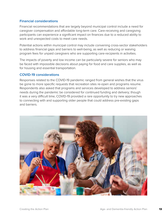#### **Financial considerations**

Financial recommendations that are largely beyond municipal control include a need for caregiver compensation and affordable long-term care. Care-receiving and caregiving participants can experience a significant impact on finances due to a reduced ability to work and unexpected costs to meet care needs.

Potential actions within municipal control may include convening cross-sector stakeholders to address financial gaps and barriers to well-being, as well as reducing or waiving program fees for unpaid caregivers who are supporting care-recipients in activities.

The impacts of poverty and low income can be particularly severe for seniors who may be faced with impossible decisions about paying for food and care supplies, as well as for housing and essential transportation.

#### **COVID-19 considerations**

Responses related to the COVID-19 pandemic ranged from general wishes that the virus be gone to more specific requests that recreation sites re-open and programs resume. Respondents also asked that programs and services developed to address seniors' needs during the pandemic be considered for continued funding and delivery; though it was a very difficult time, COVID-19 provided a rare opportunity to try new approaches to connecting with and supporting older people that could address pre-existing gaps and barriers.

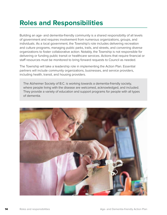### **Roles and Responsibilities**

Building an age- and dementia-friendly community is a shared responsibility of all levels of government and requires involvement from numerous organizations, groups, and individuals. As a local government, the Township's role includes delivering recreation and culture programs, managing public parks, trails, and streets, and convening diverse organizations to foster collaborative action. Notably, the Township is not responsible for delivering or funding public transit or healthcare services. Actions that require financial or staff resources must be monitored to bring forward requests to Council as needed.

The Township will take a leadership role in implementing the Action Plan. Essential partners will include community organizations, businesses, and service providers, including health, transit, and housing providers.

The Alzheimer Society of B.C. is working towards a dementia-friendly society, where people living with the disease are welcomed, acknowledged, and included. They provide a variety of education and support programs for people with all types of dementia.

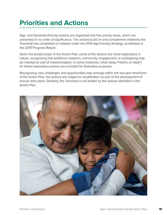### **Priorities and Actions**

Age- and dementia-friendly actions are organized into five priority areas, which are presented in no order of significance. The actions build on and complement initiatives the Township has completed or initiated under the 2014 Age-friendly Strategy, as detailed in the 2019 Progress Report.

Given the broad scope of the Action Plan, some of the actions are more exploratory in nature, recognizing that additional research, community engagement, or prototyping may be needed as part of implementation. In some instances, initial ideas ("Here's an idea!") for these exploratory actions are included for illustrative purposes.

Recognizing new challenges and opportunities may emerge within the five-year timeframe of the Action Plan, the actions are subject to recalibration as part of the development of annual work plans. Similarly, the Township is not limited by the actions identified in the Action Plan.

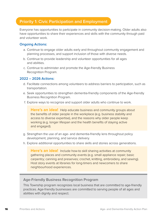#### **Priority 1: Civic Participation and Employment**

Everyone has opportunities to participate in community decision-making. Older adults also have opportunities to share their experiences and skills with the community through paid and volunteer work.

#### **Ongoing Actions:**

- a. Continue to engage older adults early and throughout community engagement and planning processes, and support inclusion of those with diverse needs.
- b. Continue to provide leadership and volunteer opportunities for all ages and abilities.
- c. Continue to administer and promote the Age-friendly Business Recognition Program.

#### **2022 – 2026 Actions:**

- d. Facilitate connections among volunteers to address barriers to participation, such as transportation.
- e. Seek opportunities to strengthen dementia-friendly components of the Age-friendly Business Recognition Program.
- f. Explore ways to recognize and support older adults who continue to work.

**Here's an idea!** Help educate business and community groups about the benefits of older people in the workplace (e.g. business stability and access to diverse expertise), and the reasons why older people keep working (e.g. longer lifespan and the health benefits of staying active and engaged).

- g. Strengthen the use of an age- and dementia-friendly lens throughout policy development, planning, and service delivery.
- h. Explore additional opportunities to share skills and stories across generations.

**Here's an idea!** Include how-to skill sharing activities at community gathering places and community events (e.g. small appliance repair; basic carpentry; canning and preserves; crochet, knitting, embroidery, and sewing). Host story events at libraries for long-timers and newcomers to share neighbourhood experiences.

#### **Age-Friendly Business Recognition Program**

This Township program recognizes local business that are committed to age-friendly practices. Age-friendly businesses are committed to serving people of all ages and abilities with dignity and respect.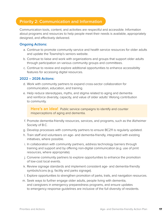#### **Priority 2: Communication and Information**

Communication tools, content, and activities are respectful and accessible. Information about programs and resources to help people meet their needs is available, appropriately designed, and effectively delivered.

#### **Ongoing Actions:**

- a. Continue to promote community service and health service resources for older adults and update the Township's seniors website.
- b. Continue to liaise and work with organizations and groups that support older adults through participation on various community groups and committees.
- c. Continue to review and explore additional opportunities to enhance accessibility features for accessing digital resources.

#### **2022 – 2026 Actions:**

- d. Work with community partners to expand cross-sector collaboration for communication, education, and training.
- e. Help reduce stereotypes, myths, and stigma related to aging and dementia and reinforce diversity, capacity, and value of older adults' lifelong contribution to community.

**Here's an idea!** Public service campaigns to identify and counter misperceptions of aging and dementia.

- f. Promote dementia-friendly resources, services, and programs, such as the Alzheimer Society of B.C.
- g. Develop processes with community partners to ensure BC211 is regularly updated.
- h. Train staff and volunteers on age- and dementia-friendly, integrated with existing initiatives, where possible.
- i. In collaboration with community partners, address technology barriers through training and support and by offering non-digital communication (e.g. use of print resources, where appropriate).
- j. Convene community partners to explore opportunities to enhance the promotion of low-cost local events.
- k. Review signage standards and implement consistent age- and dementia-friendly symbols/icons (e.g. facility and parks signage).
- l. Explore opportunities to strengthen promotion of parks, trails, and navigation resources.
- m. Seek ways to further engage older adults, people living with dementia, and caregivers in emergency preparedness programs, and ensure updates to emergency response guidelines are inclusive of the full diversity of residents.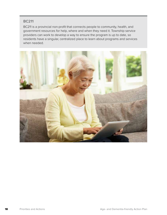#### **BC211**

BC211 is a provincial non-profit that connects people to community, health, and government resources for help, where and when they need it. Township service providers can work to develop a way to ensure the program is up to date, so residents have a singular, centralized place to learn about programs and services when needed.

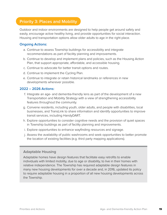#### **Priority 3: Places and Mobility**

Outdoor and indoor environments are designed to help people get around safely and easily, encourage active healthy living, and provide opportunities for social interaction. Housing and transportation options allow older adults to age in the right place.

#### **Ongoing Actions:**

- a. Continue to assess Township buildings for accessibility and integrate recommendations as part of facility planning and improvements.
- b. Continue to develop and implement plans and policies, such as the Housing Action Plan, that support appropriate, affordable, and accessible housing.
- c. Continue to advocate for better transit options and routes.
- d. Continue to implement the Cycling Plan.
- e. Continue to integrate or retain historical landmarks or references in new developments wherever possible.

#### **2022 – 2026 Actions:**

- f. Integrate an age- and dementia-friendly lens as part of the development of a new Transportation and Mobility Strategy with a view of strengthening accessibility features throughout the community.
- g. Convene residents, including youth, older adults, and people with disabilities, local businesses, and TransLink to share information and identify opportunities to improve transit services, including HandyDART.
- h. Explore opportunities to consider cognitive needs and the provision of quiet spaces in Township buildings as part of facility planning and improvements.
- i. Explore opportunities to enhance wayfinding resources and signage.
- j. Assess the availability of public washrooms and seek opportunities to better promote the location of existing facilities (e.g. third party mapping applications).

#### **Adaptable Housing**

Adaptable homes have design features that facilitate easy retrofits to enable individuals with limited mobility, due to age or disability, to live in their homes with relative independence. The Township has required adaptable design features in many new housing developments for over a decade and, in 2016, updated its policy to require adaptable housing in a proportion of all new housing developments across the Township.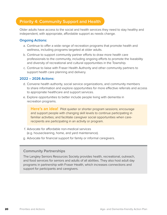#### **Priority 4: Community Support and Health**

Older adults have access to the social and health services they need to stay healthy and independent, with appropriate, affordable support as needs change.

#### **Ongoing Actions:**

- a. Continue to offer a wide range of recreation programs that promote health and wellness, including programs targeted at older adults.
- b. Continue to support community partner efforts to draw more health care professionals to the community, including ongoing efforts to promote the liveability and diversity of recreational and cultural opportunities in the Township.
- c. Continue to liaise with Fraser Health Authority and other community partners to support health care planning and delivery.

#### **2022 – 2026 Actions:**

- d. Convene health authority, social service organizations, and community members to share information and explore opportunities for more effective referrals and access to appropriate healthcare and support services.
- e. Explore opportunities to better include people living with dementia in recreation programs.

**Here's an idea!** Pilot quieter or shorter program sessions; encourage and support people with changing skill levels to continue participating in familiar activities; and facilitate caregiver social opportunities when carerecipients are participating in an activity or program.

- f. Advocate for affordable non-medical services (e.g. housecleaning, home, and yard maintenance).
- g. Advocate for financial support for family or informal caregivers.

#### **Community Partnerships**

The Langley Seniors Resources Society provides health, recreational, outreach, and food services for seniors and adults of all abilities. They also host adult day programs in partnership with Fraser Health, which increases connections and support for participants and caregivers.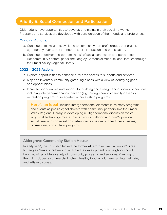#### **Priority 5: Social Connection and Participation**

Older adults have opportunities to develop and maintain their social networks. Programs and services are developed with consideration of their needs and preferences.

#### **Ongoing Actions:**

- a. Continue to make grants available to community non-profit groups that organize age-friendly events that strengthen social interaction and participation.
- b. Continue to deliver and operate "hubs" of social connection and participation, like community centres, parks, the Langley Centennial Museum, and libraries through the Fraser Valley Regional Library.

#### **2022 – 2026 Actions:**

- c. Explore opportunities to enhance rural area access to supports and services.
- d. Map and inventory community gathering places with a view of identifying gaps and opportunities.
- e. Increase opportunities and support for building and strengthening social connections, including intergenerational connection (e.g. through new community-based or recreation programs or integrated within existing programs).

**Here's an idea!** Include intergenerational elements in as many programs and events as possible; collaborate with community partners, like the Fraser Valley Regional Library, in developing multigenerational discussion topics (e.g. what technology most impacted your childhood and how?); provide social time with conversation starters/games before or after fitness classes, recreational, and cultural programs.

#### **Aldergrove Community Station House**

In early 2021, the Township leased the former Aldergrove Fire Hall on 272 Street to Langley Meals on Wheels to facilitate the development of a neighbourhood hub that will provide a variety of community programs and services. Planning for the hub includes a commercial kitchen, healthy food, a volunteer run internet café, and artisan displays.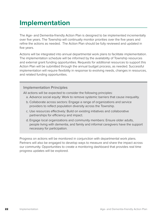### **Implementation**

The Age- and Dementia-friendly Action Plan is designed to be implemented incrementally over five years. The Township will continually monitor priorities over the five years and refine the actions as needed. The Action Plan should be fully reviewed and updated in five years.

Actions will be integrated into annual departmental work plans to facilitate implementation. The implementation schedule will be informed by the availability of Township resources and external grant funding opportunities. Requests for additional resources to support this Action Plan will be submitted through the annual budget process, as needed. Successful implementation will require flexibility in response to evolving needs, changes in resources, and related funding opportunities.

#### **Implementation Principles**

All actions will be expected to consider the following principles:

- a. Advance social equity: Work to remove systemic barriers that cause inequality.
- b. Collaborate across sectors: Engage a range of organizations and service providers to reflect population diversity across the Township.
- c. Use resources effectively: Build on existing initiatives and collaborative partnerships for efficiency and impact.
- d. Engage local organizations and community members: Ensure older adults, people living with dementia, and family and informal caregivers have the support necessary for participation.

Progress on actions will be monitored in conjunction with departmental work plans. Partners will also be engaged to develop ways to measure and share the impact across our community. Opportunities to create a monitoring dashboard that provides real time progress updates will be explored.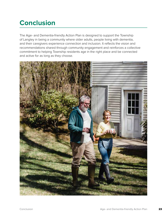## **Conclusion**

The Age- and Dementia-friendly Action Plan is designed to support the Township of Langley in being a community where older adults, people living with dementia, and their caregivers experience connection and inclusion. It reflects the vision and recommendations shared through community engagement and reinforces a collective commitment to helping Township residents age in the right place and be connected and active for as long as they choose.